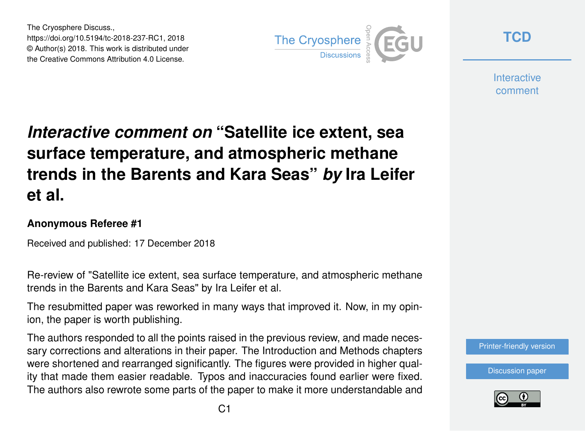The Cryosphere Discuss., https://doi.org/10.5194/tc-2018-237-RC1, 2018 © Author(s) 2018. This work is distributed under the Creative Commons Attribution 4.0 License.



**[TCD](https://www.the-cryosphere-discuss.net/)**

**Interactive** comment

## *Interactive comment on* **"Satellite ice extent, sea surface temperature, and atmospheric methane trends in the Barents and Kara Seas"** *by* **Ira Leifer et al.**

## **Anonymous Referee #1**

Received and published: 17 December 2018

Re-review of "Satellite ice extent, sea surface temperature, and atmospheric methane trends in the Barents and Kara Seas" by Ira Leifer et al.

The resubmitted paper was reworked in many ways that improved it. Now, in my opinion, the paper is worth publishing.

The authors responded to all the points raised in the previous review, and made necessary corrections and alterations in their paper. The Introduction and Methods chapters were shortened and rearranged significantly. The figures were provided in higher quality that made them easier readable. Typos and inaccuracies found earlier were fixed. The authors also rewrote some parts of the paper to make it more understandable and

[Printer-friendly version](https://www.the-cryosphere-discuss.net/tc-2018-237/tc-2018-237-RC1-print.pdf)

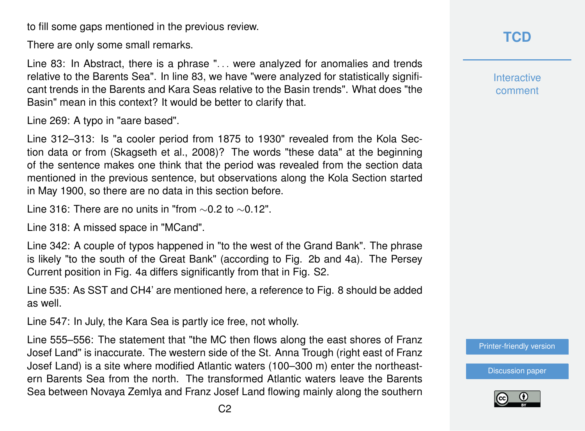to fill some gaps mentioned in the previous review.

There are only some small remarks.

Line 83: In Abstract, there is a phrase ". . . were analyzed for anomalies and trends relative to the Barents Sea". In line 83, we have "were analyzed for statistically significant trends in the Barents and Kara Seas relative to the Basin trends". What does "the Basin" mean in this context? It would be better to clarify that.

Line 269: A typo in "aare based".

Line 312–313: Is "a cooler period from 1875 to 1930" revealed from the Kola Section data or from (Skagseth et al., 2008)? The words "these data" at the beginning of the sentence makes one think that the period was revealed from the section data mentioned in the previous sentence, but observations along the Kola Section started in May 1900, so there are no data in this section before.

Line 316: There are no units in "from ∼0.2 to ∼0.12".

Line 318: A missed space in "MCand".

Line 342: A couple of typos happened in "to the west of the Grand Bank". The phrase is likely "to the south of the Great Bank" (according to Fig. 2b and 4a). The Persey Current position in Fig. 4a differs significantly from that in Fig. S2.

Line 535: As SST and CH4' are mentioned here, a reference to Fig. 8 should be added as well.

Line 547: In July, the Kara Sea is partly ice free, not wholly.

Line 555–556: The statement that "the MC then flows along the east shores of Franz Josef Land" is inaccurate. The western side of the St. Anna Trough (right east of Franz Josef Land) is a site where modified Atlantic waters (100–300 m) enter the northeastern Barents Sea from the north. The transformed Atlantic waters leave the Barents Sea between Novaya Zemlya and Franz Josef Land flowing mainly along the southern **Interactive** comment

[Printer-friendly version](https://www.the-cryosphere-discuss.net/tc-2018-237/tc-2018-237-RC1-print.pdf)

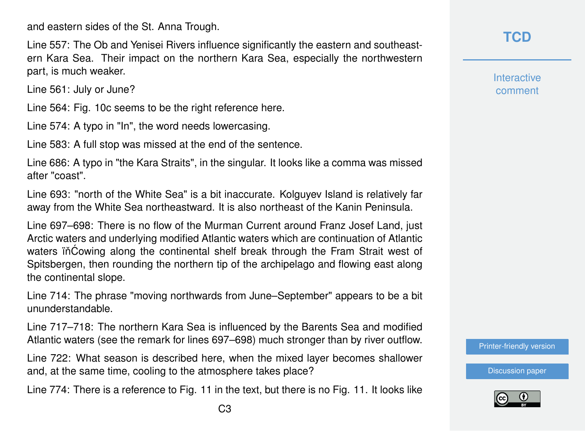and eastern sides of the St. Anna Trough.

Line 557: The Ob and Yenisei Rivers influence significantly the eastern and southeastern Kara Sea. Their impact on the northern Kara Sea, especially the northwestern part, is much weaker.

Line 561: July or June?

Line 564: Fig. 10c seems to be the right reference here.

Line 574: A typo in "In", the word needs lowercasing.

Line 583: A full stop was missed at the end of the sentence.

Line 686: A typo in "the Kara Straits", in the singular. It looks like a comma was missed after "coast".

Line 693: "north of the White Sea" is a bit inaccurate. Kolguyev Island is relatively far away from the White Sea northeastward. It is also northeast of the Kanin Peninsula.

Line 697–698: There is no flow of the Murman Current around Franz Josef Land, just Arctic waters and underlying modified Atlantic waters which are continuation of Atlantic waters in Cowing along the continental shelf break through the Fram Strait west of Spitsbergen, then rounding the northern tip of the archipelago and flowing east along the continental slope.

Line 714: The phrase "moving northwards from June–September" appears to be a bit ununderstandable.

Line 717–718: The northern Kara Sea is influenced by the Barents Sea and modified Atlantic waters (see the remark for lines 697–698) much stronger than by river outflow.

Line 722: What season is described here, when the mixed layer becomes shallower and, at the same time, cooling to the atmosphere takes place?

Line 774: There is a reference to Fig. 11 in the text, but there is no Fig. 11. It looks like

**Interactive** comment

[Printer-friendly version](https://www.the-cryosphere-discuss.net/tc-2018-237/tc-2018-237-RC1-print.pdf)